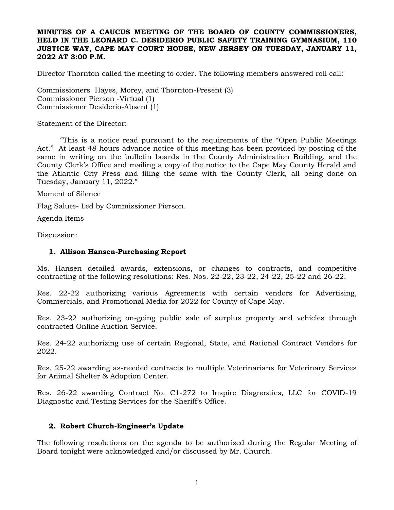### **MINUTES OF A CAUCUS MEETING OF THE BOARD OF COUNTY COMMISSIONERS, HELD IN THE LEONARD C. DESIDERIO PUBLIC SAFETY TRAINING GYMNASIUM, 110 JUSTICE WAY, CAPE MAY COURT HOUSE, NEW JERSEY ON TUESDAY, JANUARY 11, 2022 AT 3:00 P.M.**

Director Thornton called the meeting to order. The following members answered roll call:

Commissioners Hayes, Morey, and Thornton-Present (3) Commissioner Pierson -Virtual (1) Commissioner Desiderio-Absent (1)

Statement of the Director:

"This is a notice read pursuant to the requirements of the "Open Public Meetings Act." At least 48 hours advance notice of this meeting has been provided by posting of the same in writing on the bulletin boards in the County Administration Building, and the County Clerk's Office and mailing a copy of the notice to the Cape May County Herald and the Atlantic City Press and filing the same with the County Clerk, all being done on Tuesday, January 11, 2022."

Moment of Silence

Flag Salute- Led by Commissioner Pierson.

Agenda Items

Discussion:

#### **1. Allison Hansen-Purchasing Report**

Ms. Hansen detailed awards, extensions, or changes to contracts, and competitive contracting of the following resolutions: Res. Nos. 22-22, 23-22, 24-22, 25-22 and 26-22.

Res. 22-22 authorizing various Agreements with certain vendors for Advertising, Commercials, and Promotional Media for 2022 for County of Cape May.

Res. 23-22 authorizing on-going public sale of surplus property and vehicles through contracted Online Auction Service.

Res. 24-22 authorizing use of certain Regional, State, and National Contract Vendors for 2022.

Res. 25-22 awarding as-needed contracts to multiple Veterinarians for Veterinary Services for Animal Shelter & Adoption Center.

Res. 26-22 awarding Contract No. C1-272 to Inspire Diagnostics, LLC for COVID-19 Diagnostic and Testing Services for the Sheriff's Office.

#### **2. Robert Church-Engineer's Update**

The following resolutions on the agenda to be authorized during the Regular Meeting of Board tonight were acknowledged and/or discussed by Mr. Church.